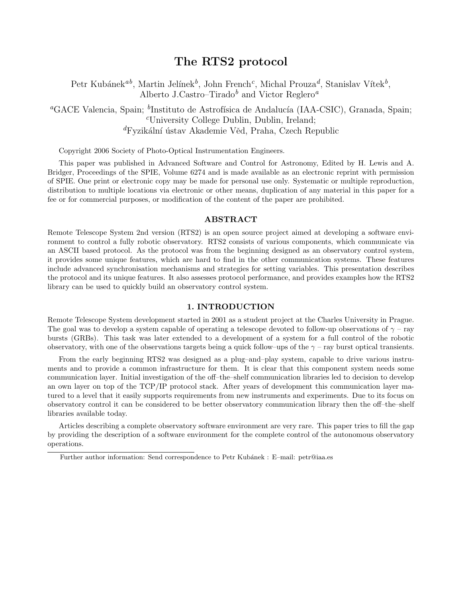# The RTS2 protocol

Petr Kubánek $^{ab}$ , Martin Jelínek $^b$ , John French<sup>c</sup>, Michal Prouza<sup>d</sup>, Stanislav Vítek $^b$ , Alberto J.Castro–Tirado<sup>b</sup> and Victor Reglero<sup>a</sup>

<sup>a</sup>GACE Valencia, Spain; <sup>b</sup>Instituto de Astrofísica de Andalucía (IAA-CSIC), Granada, Spain; <sup>c</sup>University College Dublin, Dublin, Ireland;  ${}^{d}$ Fyzikální ústav Akademie Věd, Praha, Czech Republic

Copyright 2006 Society of Photo-Optical Instrumentation Engineers.

This paper was published in Advanced Software and Control for Astronomy, Edited by H. Lewis and A. Bridger, Proceedings of the SPIE, Volume 6274 and is made available as an electronic reprint with permission of SPIE. One print or electronic copy may be made for personal use only. Systematic or multiple reproduction, distribution to multiple locations via electronic or other means, duplication of any material in this paper for a fee or for commercial purposes, or modification of the content of the paper are prohibited.

### ABSTRACT

Remote Telescope System 2nd version (RTS2) is an open source project aimed at developing a software environment to control a fully robotic observatory. RTS2 consists of various components, which communicate via an ASCII based protocol. As the protocol was from the beginning designed as an observatory control system, it provides some unique features, which are hard to find in the other communication systems. These features include advanced synchronisation mechanisms and strategies for setting variables. This presentation describes the protocol and its unique features. It also assesses protocol performance, and provides examples how the RTS2 library can be used to quickly build an observatory control system.

### 1. INTRODUCTION

Remote Telescope System development started in 2001 as a student project at the Charles University in Prague. The goal was to develop a system capable of operating a telescope devoted to follow-up observations of  $\gamma$  – ray bursts (GRBs). This task was later extended to a development of a system for a full control of the robotic observatory, with one of the observations targets being a quick follow–ups of the  $\gamma$  – ray burst optical transients.

From the early beginning RTS2 was designed as a plug–and–play system, capable to drive various instruments and to provide a common infrastructure for them. It is clear that this component system needs some communication layer. Initial investigation of the off–the–shelf communication libraries led to decision to develop an own layer on top of the TCP/IP protocol stack. After years of development this communication layer matured to a level that it easily supports requirements from new instruments and experiments. Due to its focus on observatory control it can be considered to be better observatory communication library then the off–the–shelf libraries available today.

Articles describing a complete observatory software environment are very rare. This paper tries to fill the gap by providing the description of a software environment for the complete control of the autonomous observatory operations.

Further author information: Send correspondence to Petr Kubánek : E–mail: petr@iaa.es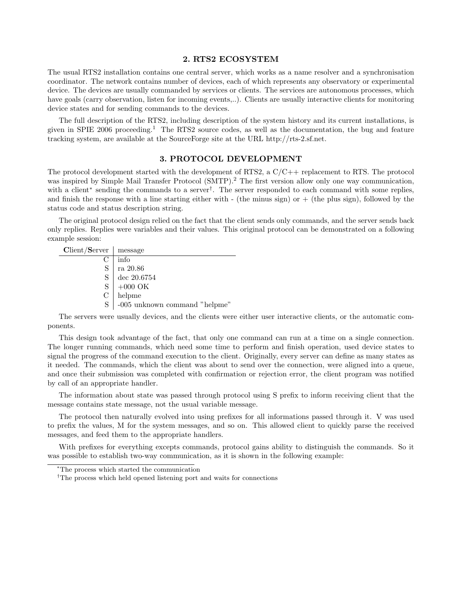### 2. RTS2 ECOSYSTEM

The usual RTS2 installation contains one central server, which works as a name resolver and a synchronisation coordinator. The network contains number of devices, each of which represents any observatory or experimental device. The devices are usually commanded by services or clients. The services are autonomous processes, which have goals (carry observation, listen for incoming events,..). Clients are usually interactive clients for monitoring device states and for sending commands to the devices.

The full description of the RTS2, including description of the system history and its current installations, is given in SPIE 2006 proceeding.<sup>1</sup> The RTS2 source codes, as well as the documentation, the bug and feature tracking system, are available at the SourceForge site at the URL http://rts-2.sf.net.

### 3. PROTOCOL DEVELOPMENT

The protocol development started with the development of RTS2, a C/C++ replacement to RTS. The protocol was inspired by Simple Mail Transfer Protocol (SMTP).<sup>2</sup> The first version allow only one way communication, with a client<sup>\*</sup> sending the commands to a server<sup>†</sup>. The server responded to each command with some replies, and finish the response with a line starting either with  $\overline{\phantom{a}}$  (the minus sign) or  $\overline{\phantom{a}}$  (the plus sign), followed by the status code and status description string.

The original protocol design relied on the fact that the client sends only commands, and the server sends back only replies. Replies were variables and their values. This original protocol can be demonstrated on a following example session:

| Client/Server | message                       |
|---------------|-------------------------------|
|               | info                          |
| S             | ra $20.86$                    |
| S             | dec $20.6754\,$               |
|               | $+000~\mathrm{OK}$            |
| C             | helpme                        |
| S             | -005 unknown command "helpme" |

The servers were usually devices, and the clients were either user interactive clients, or the automatic components.

This design took advantage of the fact, that only one command can run at a time on a single connection. The longer running commands, which need some time to perform and finish operation, used device states to signal the progress of the command execution to the client. Originally, every server can define as many states as it needed. The commands, which the client was about to send over the connection, were aligned into a queue, and once their submission was completed with confirmation or rejection error, the client program was notified by call of an appropriate handler.

The information about state was passed through protocol using S prefix to inform receiving client that the message contains state message, not the usual variable message.

The protocol then naturally evolved into using prefixes for all informations passed through it. V was used to prefix the values, M for the system messages, and so on. This allowed client to quickly parse the received messages, and feed them to the appropriate handlers.

With prefixes for everything excepts commands, protocol gains ability to distinguish the commands. So it was possible to establish two-way communication, as it is shown in the following example:

<sup>∗</sup>The process which started the communication

<sup>†</sup>The process which held opened listening port and waits for connections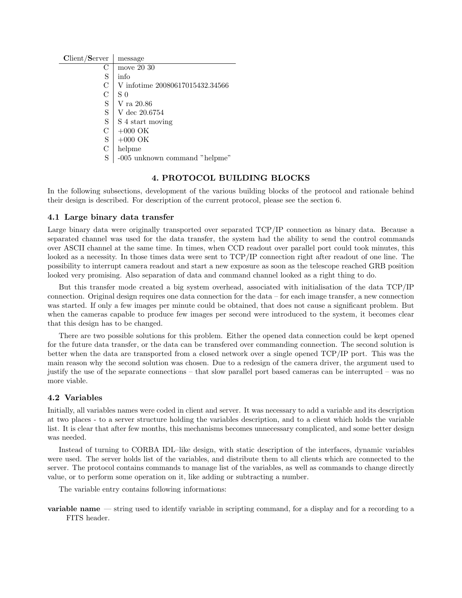| Client/Server | message                         |
|---------------|---------------------------------|
| С             | move 20 30                      |
| S             | info                            |
| С             | V infotime 20080617015432.34566 |
| С             | S 0                             |
| S             | V ra 20.86                      |
| S             | V dec 20.6754                   |
| S             | S 4 start moving                |
| С             | $+000$ OK                       |
| S             | $+000$ OK                       |
| С             | helpme                          |
| S             | -005 unknown command "helpme"   |

### 4. PROTOCOL BUILDING BLOCKS

In the following subsections, development of the various building blocks of the protocol and rationale behind their design is described. For description of the current protocol, please see the section 6.

#### 4.1 Large binary data transfer

Large binary data were originally transported over separated TCP/IP connection as binary data. Because a separated channel was used for the data transfer, the system had the ability to send the control commands over ASCII channel at the same time. In times, when CCD readout over parallel port could took minutes, this looked as a necessity. In those times data were sent to TCP/IP connection right after readout of one line. The possibility to interrupt camera readout and start a new exposure as soon as the telescope reached GRB position looked very promising. Also separation of data and command channel looked as a right thing to do.

But this transfer mode created a big system overhead, associated with initialisation of the data TCP/IP connection. Original design requires one data connection for the data – for each image transfer, a new connection was started. If only a few images per minute could be obtained, that does not cause a significant problem. But when the cameras capable to produce few images per second were introduced to the system, it becomes clear that this design has to be changed.

There are two possible solutions for this problem. Either the opened data connection could be kept opened for the future data transfer, or the data can be transfered over commanding connection. The second solution is better when the data are transported from a closed network over a single opened TCP/IP port. This was the main reason why the second solution was chosen. Due to a redesign of the camera driver, the argument used to justify the use of the separate connections – that slow parallel port based cameras can be interrupted – was no more viable.

### 4.2 Variables

Initially, all variables names were coded in client and server. It was necessary to add a variable and its description at two places - to a server structure holding the variables description, and to a client which holds the variable list. It is clear that after few months, this mechanisms becomes unnecessary complicated, and some better design was needed.

Instead of turning to CORBA IDL–like design, with static description of the interfaces, dynamic variables were used. The server holds list of the variables, and distribute them to all clients which are connected to the server. The protocol contains commands to manage list of the variables, as well as commands to change directly value, or to perform some operation on it, like adding or subtracting a number.

The variable entry contains following informations:

variable name — string used to identify variable in scripting command, for a display and for a recording to a FITS header.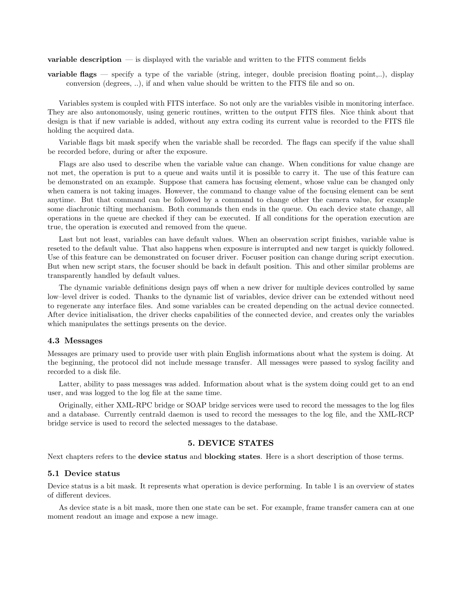**variable description**  $\overline{\phantom{a}}$  is displayed with the variable and written to the FITS comment fields

variable flags — specify a type of the variable (string, integer, double precision floating point,..), display conversion (degrees, ..), if and when value should be written to the FITS file and so on.

Variables system is coupled with FITS interface. So not only are the variables visible in monitoring interface. They are also autonomously, using generic routines, written to the output FITS files. Nice think about that design is that if new variable is added, without any extra coding its current value is recorded to the FITS file holding the acquired data.

Variable flags bit mask specify when the variable shall be recorded. The flags can specify if the value shall be recorded before, during or after the exposure.

Flags are also used to describe when the variable value can change. When conditions for value change are not met, the operation is put to a queue and waits until it is possible to carry it. The use of this feature can be demonstrated on an example. Suppose that camera has focusing element, whose value can be changed only when camera is not taking images. However, the command to change value of the focusing element can be sent anytime. But that command can be followed by a command to change other the camera value, for example some diachronic tilting mechanism. Both commands then ends in the queue. On each device state change, all operations in the queue are checked if they can be executed. If all conditions for the operation execution are true, the operation is executed and removed from the queue.

Last but not least, variables can have default values. When an observation script finishes, variable value is reseted to the default value. That also happens when exposure is interrupted and new target is quickly followed. Use of this feature can be demonstrated on focuser driver. Focuser position can change during script execution. But when new script stars, the focuser should be back in default position. This and other similar problems are transparently handled by default values.

The dynamic variable definitions design pays off when a new driver for multiple devices controlled by same low–level driver is coded. Thanks to the dynamic list of variables, device driver can be extended without need to regenerate any interface files. And some variables can be created depending on the actual device connected. After device initialisation, the driver checks capabilities of the connected device, and creates only the variables which manipulates the settings presents on the device.

#### 4.3 Messages

Messages are primary used to provide user with plain English informations about what the system is doing. At the beginning, the protocol did not include message transfer. All messages were passed to syslog facility and recorded to a disk file.

Latter, ability to pass messages was added. Information about what is the system doing could get to an end user, and was logged to the log file at the same time.

Originally, either XML-RPC bridge or SOAP bridge services were used to record the messages to the log files and a database. Currently centrald daemon is used to record the messages to the log file, and the XML-RCP bridge service is used to record the selected messages to the database.

### 5. DEVICE STATES

Next chapters refers to the **device status** and **blocking states**. Here is a short description of those terms.

#### 5.1 Device status

Device status is a bit mask. It represents what operation is device performing. In table 1 is an overview of states of different devices.

As device state is a bit mask, more then one state can be set. For example, frame transfer camera can at one moment readout an image and expose a new image.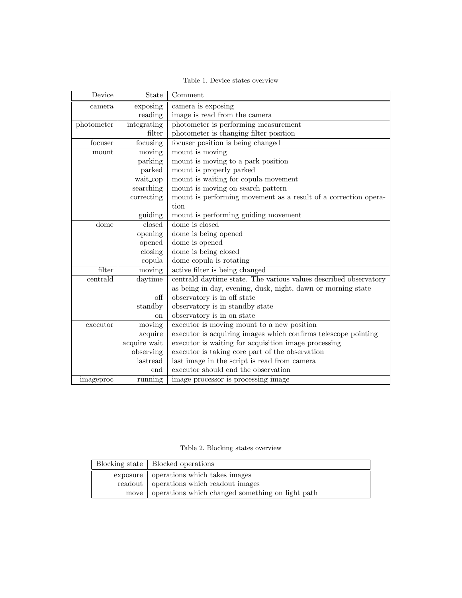|  | Table 1. Device states overview |
|--|---------------------------------|
|--|---------------------------------|

| Device                    | State                      | Comment                                                          |
|---------------------------|----------------------------|------------------------------------------------------------------|
| camera                    | exposing                   | camera is exposing                                               |
| reading                   |                            | image is read from the camera                                    |
| integrating<br>photometer |                            | photometer is performing measurement                             |
|                           | filter                     | photometer is changing filter position                           |
| focuser                   | focusing                   | focuser position is being changed                                |
| mount                     | moving                     | mount is moving                                                  |
|                           | parking                    | mount is moving to a park position                               |
|                           | parked                     | mount is properly parked                                         |
|                           | wait_cop                   | mount is waiting for copula movement                             |
|                           | searching                  | mount is moving on search pattern                                |
|                           | correcting                 | mount is performing movement as a result of a correction opera-  |
|                           |                            | tion                                                             |
|                           | guiding                    | mount is performing guiding movement                             |
| $\overline{\text{done}}$  | $\overline{\text{closed}}$ | dome is closed                                                   |
|                           | opening                    | dome is being opened                                             |
|                           | opened                     | dome is opened                                                   |
|                           | closing                    | dome is being closed                                             |
|                           | copula                     | dome copula is rotating                                          |
| filter                    | moving                     | active filter is being changed                                   |
| centrald                  | daytime                    | centrald daytime state. The various values described observatory |
|                           |                            | as being in day, evening, dusk, night, dawn or morning state     |
|                           | off                        | observatory is in off state                                      |
|                           | standby                    | observatory is in standby state                                  |
|                           | <sub>on</sub>              | observatory is in on state                                       |
| executor                  | moving                     | executor is moving mount to a new position                       |
|                           | acquire                    | executor is acquiring images which confirms telescope pointing   |
|                           | acquire_wait               | executor is waiting for acquisition image processing             |
|                           | observing                  | executor is taking core part of the observation                  |
|                           | lastread                   | last image in the script is read from camera                     |
|                           | end                        | executor should end the observation                              |
| imageproc                 | running                    | image processor is processing image                              |

Table 2. Blocking states overview

|      | Blocking state   Blocked operations              |
|------|--------------------------------------------------|
|      | exposure operations which takes images           |
|      | readout   operations which readout images        |
| move | operations which changed something on light path |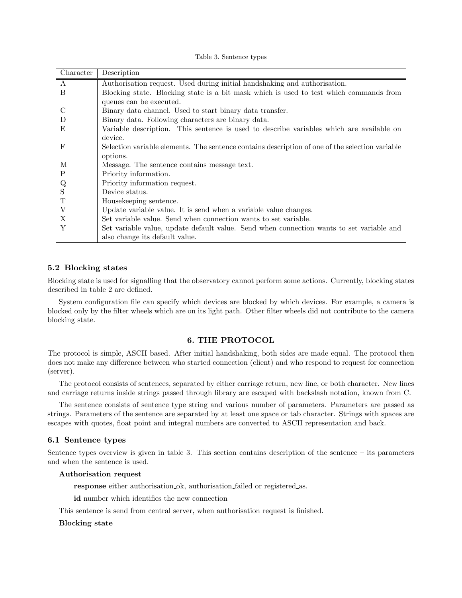| Character                 | Description                                                                                     |
|---------------------------|-------------------------------------------------------------------------------------------------|
| $\mathbf{A}$              | Authorisation request. Used during initial handshaking and authorisation.                       |
| B                         | Blocking state. Blocking state is a bit mask which is used to test which commands from          |
|                           | queues can be executed.                                                                         |
| $\mathcal{C}$             | Binary data channel. Used to start binary data transfer.                                        |
| D                         | Binary data. Following characters are binary data.                                              |
| E                         | Variable description. This sentence is used to describe variables which are available on        |
|                           | device.                                                                                         |
| F                         | Selection variable elements. The sentence contains description of one of the selection variable |
|                           | options.                                                                                        |
| M                         | Message. The sentence contains message text.                                                    |
| P                         | Priority information.                                                                           |
| $\rm Q$                   | Priority information request.                                                                   |
| S                         | Device status.                                                                                  |
| $\mathbf T$               | Housekeeping sentence.                                                                          |
| V                         | Update variable value. It is send when a variable value changes.                                |
| $\boldsymbol{\mathrm{X}}$ | Set variable value. Send when connection wants to set variable.                                 |
| Y                         | Set variable value, update default value. Send when connection wants to set variable and        |
|                           | also change its default value.                                                                  |

Table 3. Sentence types

# 5.2 Blocking states

Blocking state is used for signalling that the observatory cannot perform some actions. Currently, blocking states described in table 2 are defined.

System configuration file can specify which devices are blocked by which devices. For example, a camera is blocked only by the filter wheels which are on its light path. Other filter wheels did not contribute to the camera blocking state.

### 6. THE PROTOCOL

The protocol is simple, ASCII based. After initial handshaking, both sides are made equal. The protocol then does not make any difference between who started connection (client) and who respond to request for connection (server).

The protocol consists of sentences, separated by either carriage return, new line, or both character. New lines and carriage returns inside strings passed through library are escaped with backslash notation, known from C.

The sentence consists of sentence type string and various number of parameters. Parameters are passed as strings. Parameters of the sentence are separated by at least one space or tab character. Strings with spaces are escapes with quotes, float point and integral numbers are converted to ASCII representation and back.

#### 6.1 Sentence types

Sentence types overview is given in table 3. This section contains description of the sentence – its parameters and when the sentence is used.

#### Authorisation request

response either authorisation ok, authorisation failed or registered as.

id number which identifies the new connection

This sentence is send from central server, when authorisation request is finished.

#### Blocking state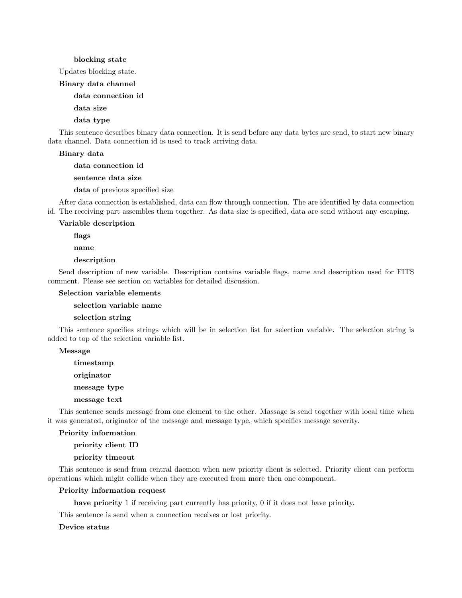#### blocking state

Updates blocking state.

#### Binary data channel

### data connection id

data size

#### data type

This sentence describes binary data connection. It is send before any data bytes are send, to start new binary data channel. Data connection id is used to track arriving data.

#### Binary data

data connection id

# sentence data size

data of previous specified size

After data connection is established, data can flow through connection. The are identified by data connection id. The receiving part assembles them together. As data size is specified, data are send without any escaping.

# Variable description

flags

# name

#### description

Send description of new variable. Description contains variable flags, name and description used for FITS comment. Please see section on variables for detailed discussion.

#### Selection variable elements

#### selection variable name

#### selection string

This sentence specifies strings which will be in selection list for selection variable. The selection string is added to top of the selection variable list.

#### Message

timestamp originator message type message text

This sentence sends message from one element to the other. Massage is send together with local time when it was generated, originator of the message and message type, which specifies message severity.

#### Priority information

#### priority client ID

### priority timeout

This sentence is send from central daemon when new priority client is selected. Priority client can perform operations which might collide when they are executed from more then one component.

#### Priority information request

have priority 1 if receiving part currently has priority, 0 if it does not have priority.

This sentence is send when a connection receives or lost priority.

### Device status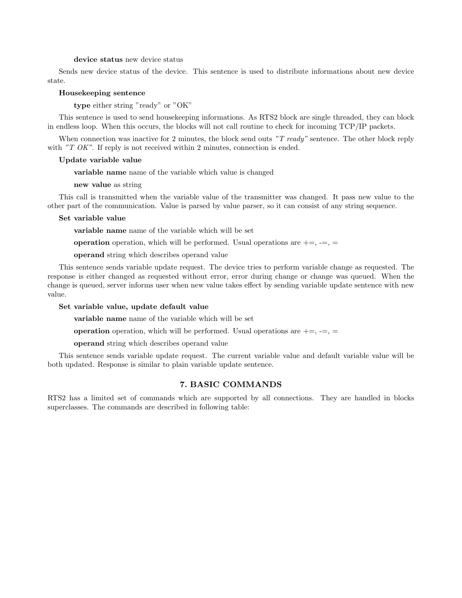#### device status new device status

Sends new device status of the device. This sentence is used to distribute informations about new device state.

#### Housekeeping sentence

type either string "ready" or "OK"

This sentence is used to send housekeeping informations. As RTS2 block are single threaded, they can block in endless loop. When this occurs, the blocks will not call routine to check for incoming TCP/IP packets.

When connection was inactive for 2 minutes, the block send outs "T ready" sentence. The other block reply with "T  $OK$ ". If reply is not received within 2 minutes, connection is ended.

# Update variable value

variable name name of the variable which value is changed

new value as string

This call is transmitted when the variable value of the transmitter was changed. It pass new value to the other part of the communication. Value is parsed by value parser, so it can consist of any string sequence.

#### Set variable value

variable name name of the variable which will be set

**operation** operation, which will be performed. Usual operations are  $+=, ==, =$ 

operand string which describes operand value

This sentence sends variable update request. The device tries to perform variable change as requested. The response is either changed as requested without error, error during change or change was queued. When the change is queued, server informs user when new value takes effect by sending variable update sentence with new value.

#### Set variable value, update default value

variable name name of the variable which will be set

**operation** operation, which will be performed. Usual operations are  $+=, ==, =$ 

operand string which describes operand value

This sentence sends variable update request. The current variable value and default variable value will be both updated. Response is similar to plain variable update sentence.

#### 7. BASIC COMMANDS

RTS2 has a limited set of commands which are supported by all connections. They are handled in blocks superclasses. The commands are described in following table: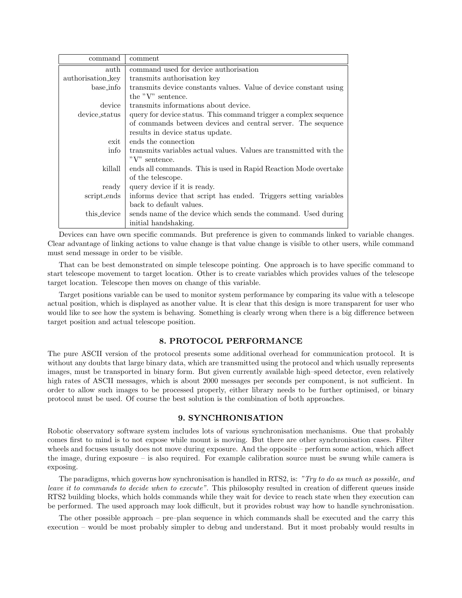| command           | comment                                                            |
|-------------------|--------------------------------------------------------------------|
| auth              | command used for device authorisation                              |
| authorisation_key | transmits authorisation key                                        |
| base_info         | transmits device constants values. Value of device constant using  |
|                   | the "V" sentence.                                                  |
| device            | transmits informations about device.                               |
| device status     | query for device status. This command trigger a complex sequence   |
|                   | of commands between devices and central server. The sequence       |
|                   | results in device status update.                                   |
| exit              | ends the connection                                                |
| info              | transmits variables actual values. Values are transmitted with the |
|                   | "V" sentence.                                                      |
| killall           | ends all commands. This is used in Rapid Reaction Mode overtake    |
|                   | of the telescope.                                                  |
| ready             | query device if it is ready.                                       |
| script_ends       | informs device that script has ended. Triggers setting variables   |
|                   | back to default values.                                            |
| this_device       | sends name of the device which sends the command. Used during      |
|                   | initial handshaking.                                               |

Devices can have own specific commands. But preference is given to commands linked to variable changes. Clear advantage of linking actions to value change is that value change is visible to other users, while command must send message in order to be visible.

That can be best demonstrated on simple telescope pointing. One approach is to have specific command to start telescope movement to target location. Other is to create variables which provides values of the telescope target location. Telescope then moves on change of this variable.

Target positions variable can be used to monitor system performance by comparing its value with a telescope actual position, which is displayed as another value. It is clear that this design is more transparent for user who would like to see how the system is behaving. Something is clearly wrong when there is a big difference between target position and actual telescope position.

# 8. PROTOCOL PERFORMANCE

The pure ASCII version of the protocol presents some additional overhead for communication protocol. It is without any doubts that large binary data, which are transmitted using the protocol and which usually represents images, must be transported in binary form. But given currently available high–speed detector, even relatively high rates of ASCII messages, which is about 2000 messages per seconds per component, is not sufficient. In order to allow such images to be processed properly, either library needs to be further optimised, or binary protocol must be used. Of course the best solution is the combination of both approaches.

### 9. SYNCHRONISATION

Robotic observatory software system includes lots of various synchronisation mechanisms. One that probably comes first to mind is to not expose while mount is moving. But there are other synchronisation cases. Filter wheels and focuses usually does not move during exposure. And the opposite – perform some action, which affect the image, during exposure – is also required. For example calibration source must be swung while camera is exposing.

The paradigms, which governs how synchronisation is handled in RTS2, is: "Try to do as much as possible, and leave it to commands to decide when to execute". This philosophy resulted in creation of different queues inside RTS2 building blocks, which holds commands while they wait for device to reach state when they execution can be performed. The used approach may look difficult, but it provides robust way how to handle synchronisation.

The other possible approach – pre–plan sequence in which commands shall be executed and the carry this execution – would be most probably simpler to debug and understand. But it most probably would results in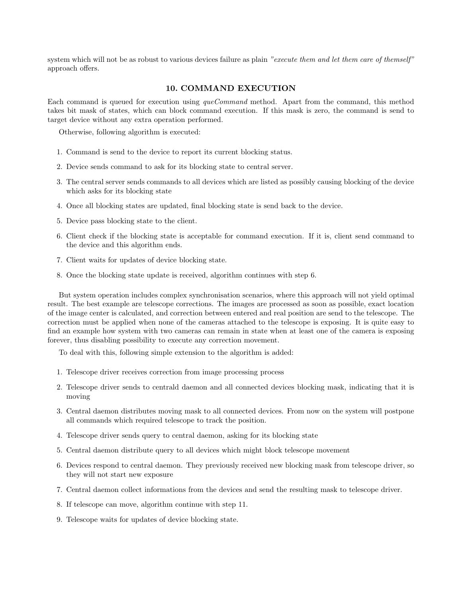system which will not be as robust to various devices failure as plain "execute them and let them care of themself" approach offers.

### 10. COMMAND EXECUTION

Each command is queued for execution using queCommand method. Apart from the command, this method takes bit mask of states, which can block command execution. If this mask is zero, the command is send to target device without any extra operation performed.

Otherwise, following algorithm is executed:

- 1. Command is send to the device to report its current blocking status.
- 2. Device sends command to ask for its blocking state to central server.
- 3. The central server sends commands to all devices which are listed as possibly causing blocking of the device which asks for its blocking state
- 4. Once all blocking states are updated, final blocking state is send back to the device.
- 5. Device pass blocking state to the client.
- 6. Client check if the blocking state is acceptable for command execution. If it is, client send command to the device and this algorithm ends.
- 7. Client waits for updates of device blocking state.
- 8. Once the blocking state update is received, algorithm continues with step 6.

But system operation includes complex synchronisation scenarios, where this approach will not yield optimal result. The best example are telescope corrections. The images are processed as soon as possible, exact location of the image center is calculated, and correction between entered and real position are send to the telescope. The correction must be applied when none of the cameras attached to the telescope is exposing. It is quite easy to find an example how system with two cameras can remain in state when at least one of the camera is exposing forever, thus disabling possibility to execute any correction movement.

To deal with this, following simple extension to the algorithm is added:

- 1. Telescope driver receives correction from image processing process
- 2. Telescope driver sends to centrald daemon and all connected devices blocking mask, indicating that it is moving
- 3. Central daemon distributes moving mask to all connected devices. From now on the system will postpone all commands which required telescope to track the position.
- 4. Telescope driver sends query to central daemon, asking for its blocking state
- 5. Central daemon distribute query to all devices which might block telescope movement
- 6. Devices respond to central daemon. They previously received new blocking mask from telescope driver, so they will not start new exposure
- 7. Central daemon collect informations from the devices and send the resulting mask to telescope driver.
- 8. If telescope can move, algorithm continue with step 11.
- 9. Telescope waits for updates of device blocking state.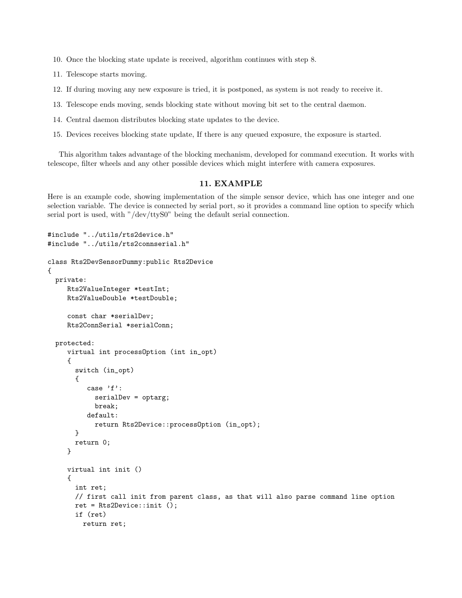10. Once the blocking state update is received, algorithm continues with step 8.

11. Telescope starts moving.

12. If during moving any new exposure is tried, it is postponed, as system is not ready to receive it.

13. Telescope ends moving, sends blocking state without moving bit set to the central daemon.

- 14. Central daemon distributes blocking state updates to the device.
- 15. Devices receives blocking state update, If there is any queued exposure, the exposure is started.

This algorithm takes advantage of the blocking mechanism, developed for command execution. It works with telescope, filter wheels and any other possible devices which might interfere with camera exposures.

# 11. EXAMPLE

Here is an example code, showing implementation of the simple sensor device, which has one integer and one selection variable. The device is connected by serial port, so it provides a command line option to specify which serial port is used, with "/dev/ttyS0" being the default serial connection.

```
#include "../utils/rts2device.h"
#include "../utils/rts2connserial.h"
class Rts2DevSensorDummy:public Rts2Device
{
 private:
     Rts2ValueInteger *testInt;
     Rts2ValueDouble *testDouble;
     const char *serialDev;
     Rts2ConnSerial *serialConn;
 protected:
     virtual int processOption (int in_opt)
     {
      switch (in_opt)
       {
          case 'f':
            serialDev = optarg;
            break;
          default:
            return Rts2Device::processOption (in_opt);
      }
       return 0;
     }
     virtual int init ()
     {
       int ret;
       // first call init from parent class, as that will also parse command line option
      ret = Rts2Device::init ();
       if (ret)
         return ret;
```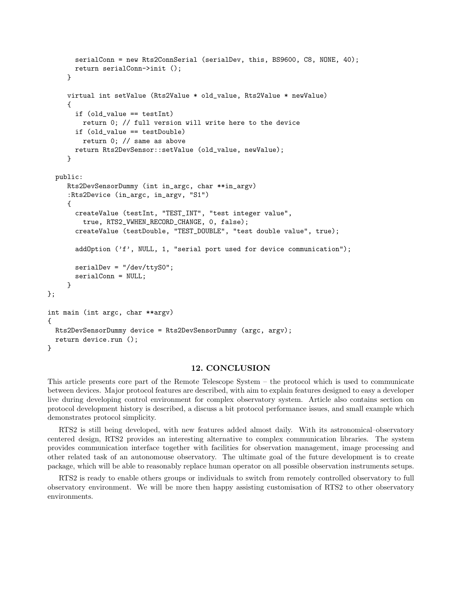```
serialConn = new Rts2ConnSerial (serialDev, this, BS9600, C8, NONE, 40);
       return serialConn->init ();
     }
     virtual int setValue (Rts2Value * old_value, Rts2Value * newValue)
     \mathcal{L}if (old_value == testInt)
         return 0; // full version will write here to the device
       if (old_value == testDouble)
         return 0; // same as above
       return Rts2DevSensor::setValue (old_value, newValue);
     }
 public:
     Rts2DevSensorDummy (int in_argc, char **in_argv)
     :Rts2Device (in_argc, in_argv, "S1")
     {
       createValue (testInt, "TEST_INT", "test integer value",
         true, RTS2_VWHEN_RECORD_CHANGE, 0, false);
       createValue (testDouble, "TEST_DOUBLE", "test double value", true);
       addOption ('f', NULL, 1, "serial port used for device communication");
       serialDev = "/dev/ttyS0";
       serialConn = NULL;
     }
};
int main (int argc, char **argv)
 Rts2DevSensorDummy device = Rts2DevSensorDummy (argc, argv);
 return device.run ();
```
{

}

#### 12. CONCLUSION

This article presents core part of the Remote Telescope System – the protocol which is used to communicate between devices. Major protocol features are described, with aim to explain features designed to easy a developer live during developing control environment for complex observatory system. Article also contains section on protocol development history is described, a discuss a bit protocol performance issues, and small example which demonstrates protocol simplicity.

RTS2 is still being developed, with new features added almost daily. With its astronomical–observatory centered design, RTS2 provides an interesting alternative to complex communication libraries. The system provides communication interface together with facilities for observation management, image processing and other related task of an autonomouse observatory. The ultimate goal of the future development is to create package, which will be able to reasonably replace human operator on all possible observation instruments setups.

RTS2 is ready to enable others groups or individuals to switch from remotely controlled observatory to full observatory environment. We will be more then happy assisting customisation of RTS2 to other observatory environments.